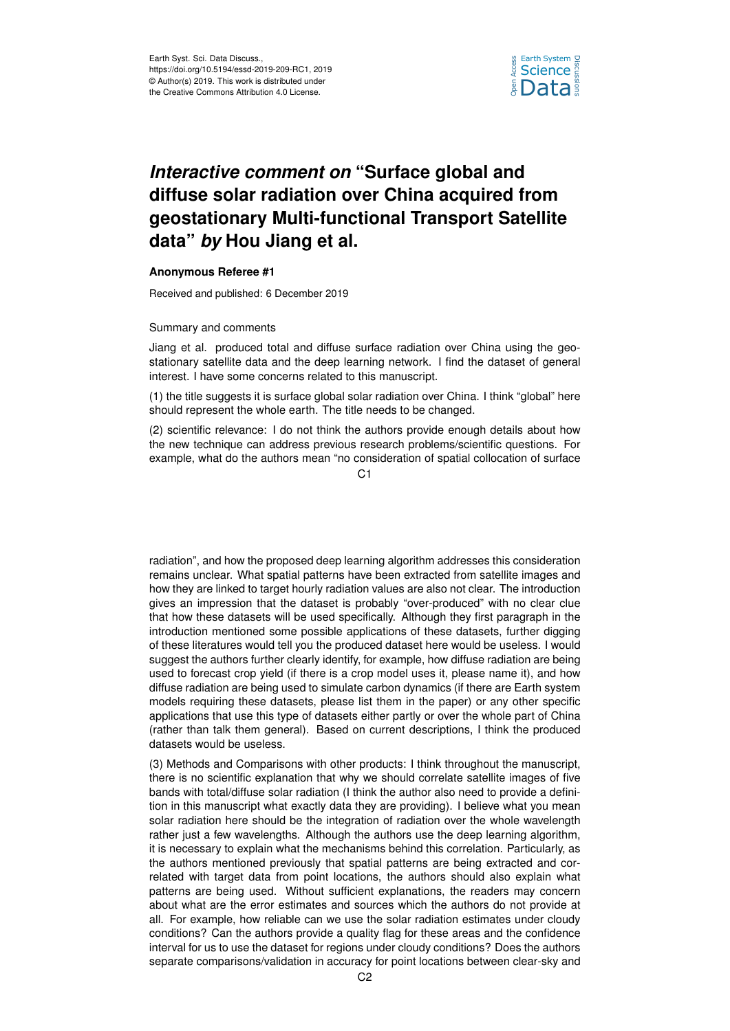

## *Interactive comment on* **"Surface global and diffuse solar radiation over China acquired from geostationary Multi-functional Transport Satellite data"** *by* **Hou Jiang et al.**

## **Anonymous Referee #1**

Received and published: 6 December 2019

## Summary and comments

Jiang et al. produced total and diffuse surface radiation over China using the geostationary satellite data and the deep learning network. I find the dataset of general interest. I have some concerns related to this manuscript.

(1) the title suggests it is surface global solar radiation over China. I think "global" here should represent the whole earth. The title needs to be changed.

(2) scientific relevance: I do not think the authors provide enough details about how the new technique can address previous research problems/scientific questions. For example, what do the authors mean "no consideration of spatial collocation of surface

 $C<sub>1</sub>$ 

radiation", and how the proposed deep learning algorithm addresses this consideration remains unclear. What spatial patterns have been extracted from satellite images and how they are linked to target hourly radiation values are also not clear. The introduction gives an impression that the dataset is probably "over-produced" with no clear clue that how these datasets will be used specifically. Although they first paragraph in the introduction mentioned some possible applications of these datasets, further digging of these literatures would tell you the produced dataset here would be useless. I would suggest the authors further clearly identify, for example, how diffuse radiation are being used to forecast crop yield (if there is a crop model uses it, please name it), and how diffuse radiation are being used to simulate carbon dynamics (if there are Earth system models requiring these datasets, please list them in the paper) or any other specific applications that use this type of datasets either partly or over the whole part of China (rather than talk them general). Based on current descriptions, I think the produced datasets would be useless.

(3) Methods and Comparisons with other products: I think throughout the manuscript, there is no scientific explanation that why we should correlate satellite images of five bands with total/diffuse solar radiation (I think the author also need to provide a definition in this manuscript what exactly data they are providing). I believe what you mean solar radiation here should be the integration of radiation over the whole wavelength rather just a few wavelengths. Although the authors use the deep learning algorithm, it is necessary to explain what the mechanisms behind this correlation. Particularly, as the authors mentioned previously that spatial patterns are being extracted and correlated with target data from point locations, the authors should also explain what patterns are being used. Without sufficient explanations, the readers may concern about what are the error estimates and sources which the authors do not provide at all. For example, how reliable can we use the solar radiation estimates under cloudy conditions? Can the authors provide a quality flag for these areas and the confidence interval for us to use the dataset for regions under cloudy conditions? Does the authors separate comparisons/validation in accuracy for point locations between clear-sky and